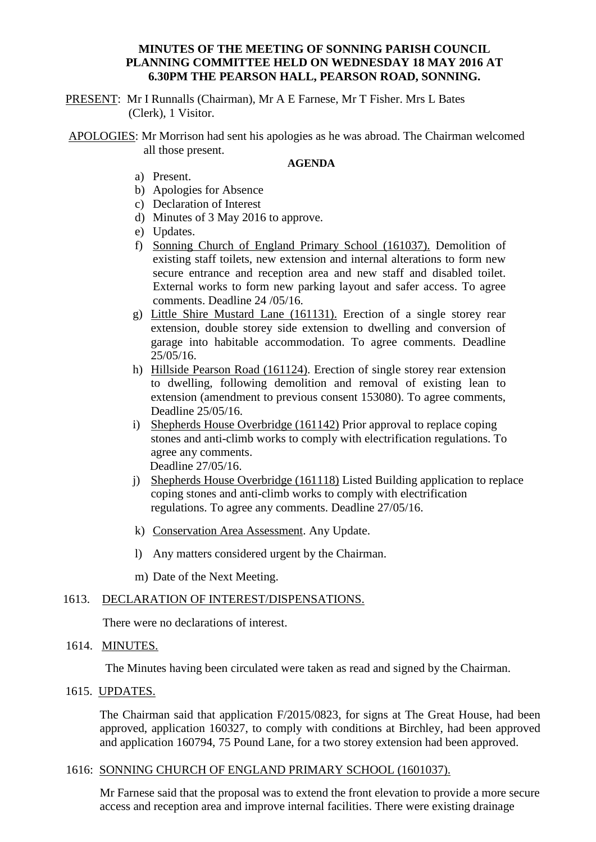# **MINUTES OF THE MEETING OF SONNING PARISH COUNCIL PLANNING COMMITTEE HELD ON WEDNESDAY 18 MAY 2016 AT 6.30PM THE PEARSON HALL, PEARSON ROAD, SONNING.**

PRESENT: Mr I Runnalls (Chairman), Mr A E Farnese, Mr T Fisher. Mrs L Bates (Clerk), 1 Visitor.

APOLOGIES: Mr Morrison had sent his apologies as he was abroad. The Chairman welcomed all those present.

#### **AGENDA**

- a) Present.
- b) Apologies for Absence
- c) Declaration of Interest
- d) Minutes of 3 May 2016 to approve.
- e) Updates.
- f) Sonning Church of England Primary School (161037). Demolition of existing staff toilets, new extension and internal alterations to form new secure entrance and reception area and new staff and disabled toilet. External works to form new parking layout and safer access. To agree comments. Deadline 24 /05/16.
- g) Little Shire Mustard Lane (161131). Erection of a single storey rear extension, double storey side extension to dwelling and conversion of garage into habitable accommodation. To agree comments. Deadline 25/05/16.
- h) Hillside Pearson Road (161124). Erection of single storey rear extension to dwelling, following demolition and removal of existing lean to extension (amendment to previous consent 153080). To agree comments, Deadline 25/05/16.
- i) Shepherds House Overbridge (161142) Prior approval to replace coping stones and anti-climb works to comply with electrification regulations. To agree any comments. Deadline 27/05/16.
- j) Shepherds House Overbridge (161118) Listed Building application to replace coping stones and anti-climb works to comply with electrification regulations. To agree any comments. Deadline 27/05/16.
- k) Conservation Area Assessment. Any Update.
- l) Any matters considered urgent by the Chairman.
- m) Date of the Next Meeting.

### 1613. DECLARATION OF INTEREST/DISPENSATIONS.

There were no declarations of interest.

## 1614. MINUTES.

The Minutes having been circulated were taken as read and signed by the Chairman.

## 1615. UPDATES.

The Chairman said that application F/2015/0823, for signs at The Great House, had been approved, application 160327, to comply with conditions at Birchley, had been approved and application 160794, 75 Pound Lane, for a two storey extension had been approved.

#### 1616: SONNING CHURCH OF ENGLAND PRIMARY SCHOOL (1601037).

Mr Farnese said that the proposal was to extend the front elevation to provide a more secure access and reception area and improve internal facilities. There were existing drainage